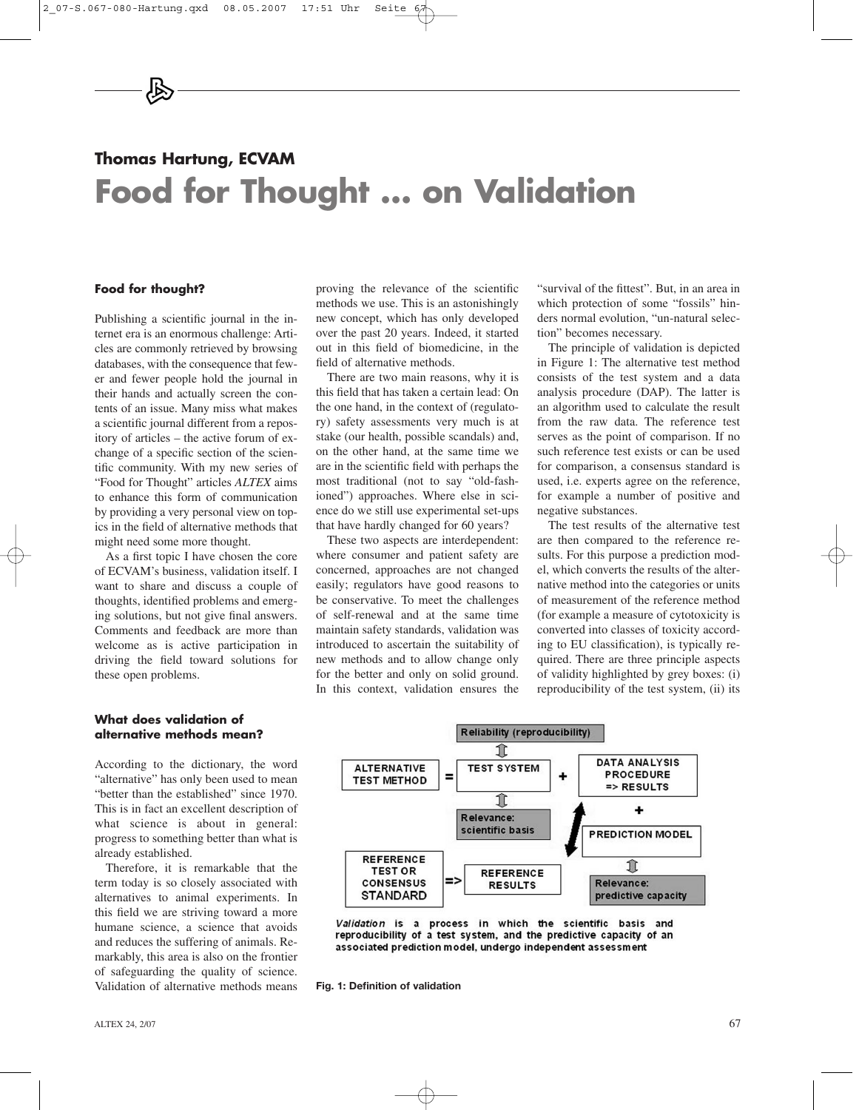# **Thomas Hartung, ECVAM Food for Thought … on Validation**

## **Food for thought?**

Publishing a scientific journal in the internet era is an enormous challenge: Articles are commonly retrieved by browsing databases, with the consequence that fewer and fewer people hold the journal in their hands and actually screen the contents of an issue. Many miss what makes a scientific journal different from a repository of articles – the active forum of exchange of a specific section of the scientific community. With my new series of "Food for Thought" articles *ALTEX* aims to enhance this form of communication by providing a very personal view on topics in the field of alternative methods that might need some more thought.

As a first topic I have chosen the core of ECVAM's business, validation itself. I want to share and discuss a couple of thoughts, identified problems and emerging solutions, but not give final answers. Comments and feedback are more than welcome as is active participation in driving the field toward solutions for these open problems.

#### **What does validation of alternative methods mean?**

According to the dictionary, the word "alternative" has only been used to mean "better than the established" since 1970. This is in fact an excellent description of what science is about in general: progress to something better than what is already established.

Therefore, it is remarkable that the term today is so closely associated with alternatives to animal experiments. In this field we are striving toward a more humane science, a science that avoids and reduces the suffering of animals. Remarkably, this area is also on the frontier of safeguarding the quality of science. Validation of alternative methods means proving the relevance of the scientific methods we use. This is an astonishingly new concept, which has only developed over the past 20 years. Indeed, it started out in this field of biomedicine, in the field of alternative methods.

There are two main reasons, why it is this field that has taken a certain lead: On the one hand, in the context of (regulatory) safety assessments very much is at stake (our health, possible scandals) and, on the other hand, at the same time we are in the scientific field with perhaps the most traditional (not to say "old-fashioned") approaches. Where else in science do we still use experimental set-ups that have hardly changed for 60 years?

These two aspects are interdependent: where consumer and patient safety are concerned, approaches are not changed easily; regulators have good reasons to be conservative. To meet the challenges of self-renewal and at the same time maintain safety standards, validation was introduced to ascertain the suitability of new methods and to allow change only for the better and only on solid ground. In this context, validation ensures the

"survival of the fittest". But, in an area in which protection of some "fossils" hinders normal evolution, "un-natural selection" becomes necessary.

The principle of validation is depicted in Figure 1: The alternative test method consists of the test system and a data analysis procedure (DAP). The latter is an algorithm used to calculate the result from the raw data. The reference test serves as the point of comparison. If no such reference test exists or can be used for comparison, a consensus standard is used, i.e. experts agree on the reference, for example a number of positive and negative substances.

The test results of the alternative test are then compared to the reference results. For this purpose a prediction model, which converts the results of the alternative method into the categories or units of measurement of the reference method (for example a measure of cytotoxicity is converted into classes of toxicity according to EU classification), is typically required. There are three principle aspects of validity highlighted by grey boxes: (i) reproducibility of the test system, (ii) its





**Fig. 1: Definition of validation**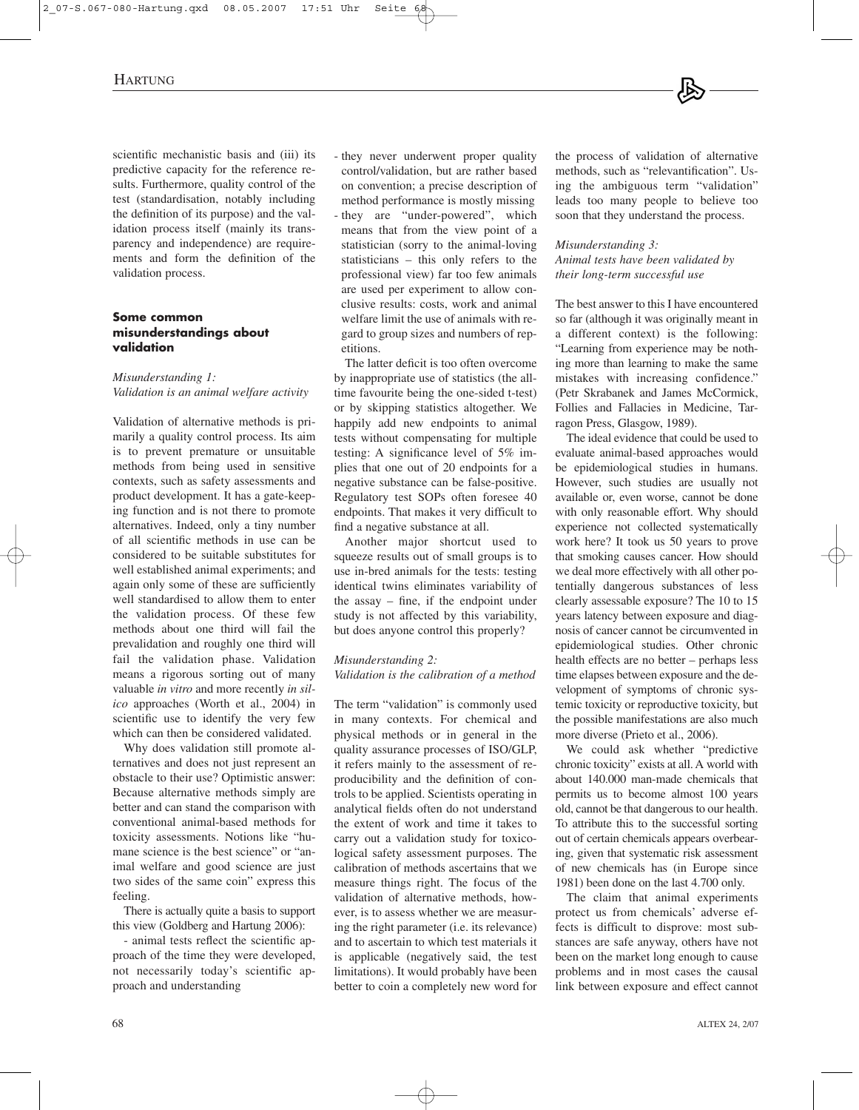scientific mechanistic basis and (iii) its predictive capacity for the reference results. Furthermore, quality control of the test (standardisation, notably including the definition of its purpose) and the validation process itself (mainly its transparency and independence) are requirements and form the definition of the validation process.

#### **Some common misunderstandings about validation**

#### *Misunderstanding 1: Validation is an animal welfare activity*

Validation of alternative methods is primarily a quality control process. Its aim is to prevent premature or unsuitable methods from being used in sensitive contexts, such as safety assessments and product development. It has a gate-keeping function and is not there to promote alternatives. Indeed, only a tiny number of all scientific methods in use can be considered to be suitable substitutes for well established animal experiments; and again only some of these are sufficiently well standardised to allow them to enter the validation process. Of these few methods about one third will fail the prevalidation and roughly one third will fail the validation phase. Validation means a rigorous sorting out of many valuable *in vitro* and more recently *in silico* approaches (Worth et al., 2004) in scientific use to identify the very few which can then be considered validated.

Why does validation still promote alternatives and does not just represent an obstacle to their use? Optimistic answer: Because alternative methods simply are better and can stand the comparison with conventional animal-based methods for toxicity assessments. Notions like "humane science is the best science" or "animal welfare and good science are just two sides of the same coin" express this feeling.

There is actually quite a basis to support this view (Goldberg and Hartung 2006):

- animal tests reflect the scientific approach of the time they were developed, not necessarily today's scientific approach and understanding

- they never underwent proper quality control/validation, but are rather based on convention; a precise description of method performance is mostly missing - they are "under-powered", which means that from the view point of a statistician (sorry to the animal-loving statisticians – this only refers to the professional view) far too few animals are used per experiment to allow conclusive results: costs, work and animal welfare limit the use of animals with regard to group sizes and numbers of repetitions.

The latter deficit is too often overcome by inappropriate use of statistics (the alltime favourite being the one-sided t-test) or by skipping statistics altogether. We happily add new endpoints to animal tests without compensating for multiple testing: A significance level of 5% implies that one out of 20 endpoints for a negative substance can be false-positive. Regulatory test SOPs often foresee 40 endpoints. That makes it very difficult to find a negative substance at all.

Another major shortcut used to squeeze results out of small groups is to use in-bred animals for the tests: testing identical twins eliminates variability of the assay – fine, if the endpoint under study is not affected by this variability, but does anyone control this properly?

## *Misunderstanding 2:*

*Validation is the calibration of a method*

The term "validation" is commonly used in many contexts. For chemical and physical methods or in general in the quality assurance processes of ISO/GLP, it refers mainly to the assessment of reproducibility and the definition of controls to be applied. Scientists operating in analytical fields often do not understand the extent of work and time it takes to carry out a validation study for toxicological safety assessment purposes. The calibration of methods ascertains that we measure things right. The focus of the validation of alternative methods, however, is to assess whether we are measuring the right parameter (i.e. its relevance) and to ascertain to which test materials it is applicable (negatively said, the test limitations). It would probably have been better to coin a completely new word for the process of validation of alternative methods, such as "relevantification". Using the ambiguous term "validation" leads too many people to believe too soon that they understand the process.

#### *Misunderstanding 3: Animal tests have been validated by their long-term successful use*

The best answer to this I have encountered so far (although it was originally meant in a different context) is the following: "Learning from experience may be nothing more than learning to make the same mistakes with increasing confidence." (Petr Skrabanek and James McCormick, Follies and Fallacies in Medicine, Tarragon Press, Glasgow, 1989).

The ideal evidence that could be used to evaluate animal-based approaches would be epidemiological studies in humans. However, such studies are usually not available or, even worse, cannot be done with only reasonable effort. Why should experience not collected systematically work here? It took us 50 years to prove that smoking causes cancer. How should we deal more effectively with all other potentially dangerous substances of less clearly assessable exposure? The 10 to 15 years latency between exposure and diagnosis of cancer cannot be circumvented in epidemiological studies. Other chronic health effects are no better – perhaps less time elapses between exposure and the development of symptoms of chronic systemic toxicity or reproductive toxicity, but the possible manifestations are also much more diverse (Prieto et al., 2006).

We could ask whether "predictive chronic toxicity" exists at all. A world with about 140.000 man-made chemicals that permits us to become almost 100 years old, cannot be that dangerous to our health. To attribute this to the successful sorting out of certain chemicals appears overbearing, given that systematic risk assessment of new chemicals has (in Europe since 1981) been done on the last 4.700 only.

The claim that animal experiments protect us from chemicals' adverse effects is difficult to disprove: most substances are safe anyway, others have not been on the market long enough to cause problems and in most cases the causal link between exposure and effect cannot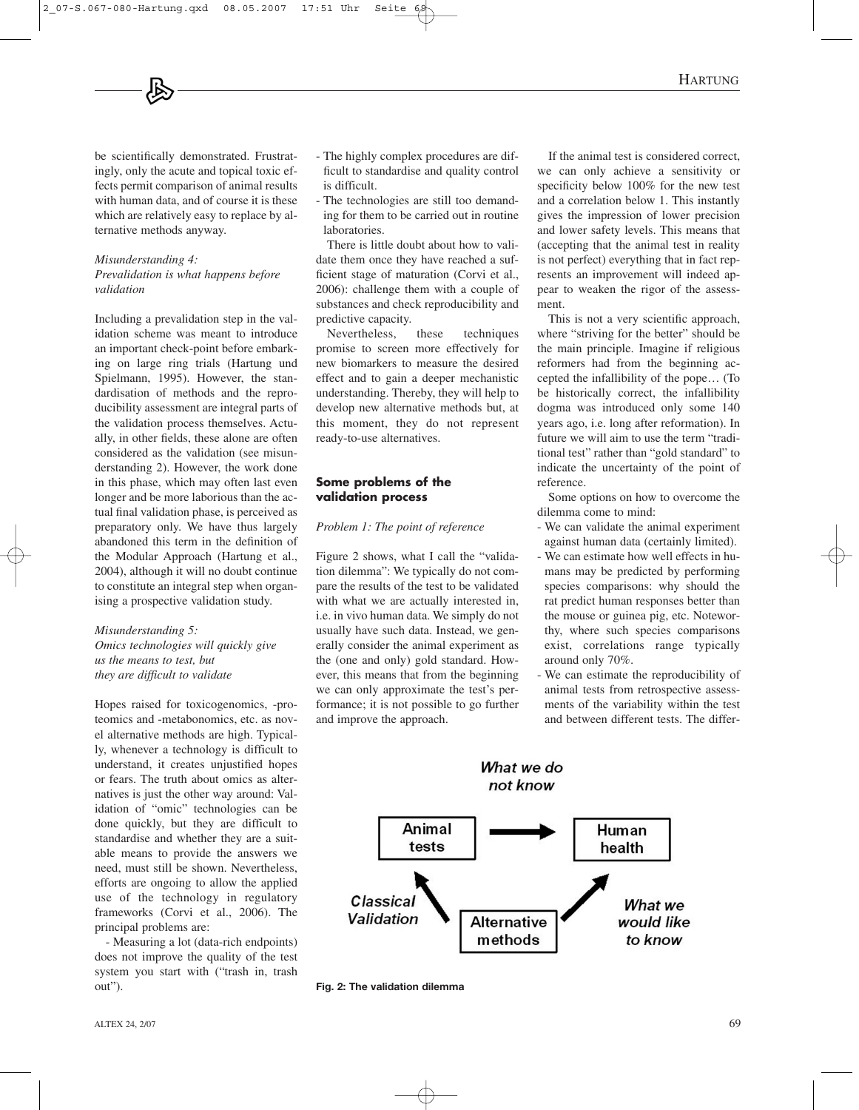be scientifically demonstrated. Frustratingly, only the acute and topical toxic effects permit comparison of animal results with human data, and of course it is these which are relatively easy to replace by alternative methods anyway.

#### *Misunderstanding 4: Prevalidation is what happens before validation*

Including a prevalidation step in the validation scheme was meant to introduce an important check-point before embarking on large ring trials (Hartung und Spielmann, 1995). However, the standardisation of methods and the reproducibility assessment are integral parts of the validation process themselves. Actually, in other fields, these alone are often considered as the validation (see misunderstanding 2). However, the work done in this phase, which may often last even longer and be more laborious than the actual final validation phase, is perceived as preparatory only. We have thus largely abandoned this term in the definition of the Modular Approach (Hartung et al., 2004), although it will no doubt continue to constitute an integral step when organising a prospective validation study.

#### *Misunderstanding 5: Omics technologies will quickly give us the means to test, but they are difficult to validate*

Hopes raised for toxicogenomics, -proteomics and -metabonomics, etc. as novel alternative methods are high. Typically, whenever a technology is difficult to understand, it creates unjustified hopes or fears. The truth about omics as alternatives is just the other way around: Validation of "omic" technologies can be done quickly, but they are difficult to standardise and whether they are a suitable means to provide the answers we need, must still be shown. Nevertheless, efforts are ongoing to allow the applied use of the technology in regulatory frameworks (Corvi et al., 2006). The principal problems are:

- Measuring a lot (data-rich endpoints) does not improve the quality of the test system you start with ("trash in, trash out").

- The highly complex procedures are difficult to standardise and quality control is difficult.
- The technologies are still too demanding for them to be carried out in routine laboratories.

There is little doubt about how to validate them once they have reached a sufficient stage of maturation (Corvi et al., 2006): challenge them with a couple of substances and check reproducibility and predictive capacity.

Nevertheless, these techniques promise to screen more effectively for new biomarkers to measure the desired effect and to gain a deeper mechanistic understanding. Thereby, they will help to develop new alternative methods but, at this moment, they do not represent ready-to-use alternatives.

## **Some problems of the validation process**

### *Problem 1: The point of reference*

Figure 2 shows, what I call the "validation dilemma": We typically do not compare the results of the test to be validated with what we are actually interested in, i.e. in vivo human data. We simply do not usually have such data. Instead, we generally consider the animal experiment as the (one and only) gold standard. However, this means that from the beginning we can only approximate the test's performance; it is not possible to go further and improve the approach.

If the animal test is considered correct, we can only achieve a sensitivity or specificity below 100% for the new test and a correlation below 1. This instantly gives the impression of lower precision and lower safety levels. This means that (accepting that the animal test in reality is not perfect) everything that in fact represents an improvement will indeed appear to weaken the rigor of the assessment.

This is not a very scientific approach, where "striving for the better" should be the main principle. Imagine if religious reformers had from the beginning accepted the infallibility of the pope… (To be historically correct, the infallibility dogma was introduced only some 140 years ago, i.e. long after reformation). In future we will aim to use the term "traditional test" rather than "gold standard" to indicate the uncertainty of the point of reference.

Some options on how to overcome the dilemma come to mind:

- We can validate the animal experiment against human data (certainly limited).
- We can estimate how well effects in humans may be predicted by performing species comparisons: why should the rat predict human responses better than the mouse or guinea pig, etc. Noteworthy, where such species comparisons exist, correlations range typically around only 70%.
- We can estimate the reproducibility of animal tests from retrospective assessments of the variability within the test and between different tests. The differ-



**Fig. 2: The validation dilemma**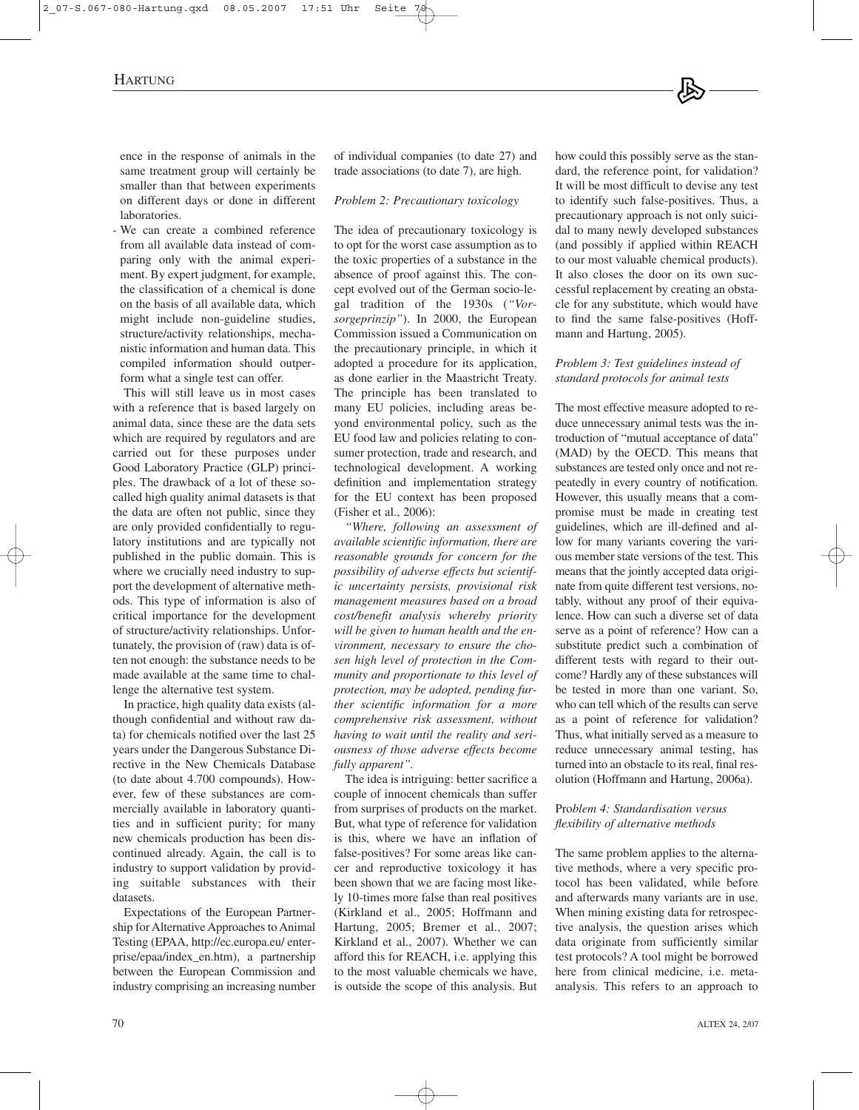ence in the response of animals in the same treatment group will certainly be smaller than that between experiments on different days or done in different laboratories.

- We can create a combined reference from all available data instead of comparing only with the animal experiment. By expert judgment, for example, the classification of a chemical is done on the basis of all available data, which might include non-guideline studies, structure/activity relationships, mechanistic information and human data. This compiled information should outperform what a single test can offer.

This will still leave us in most cases with a reference that is based largely on animal data, since these are the data sets which are required by regulators and are carried out for these purposes under Good Laboratory Practice (GLP) principles. The drawback of a lot of these socalled high quality animal datasets is that the data are often not public, since they are only provided confidentially to regulatory institutions and are typically not published in the public domain. This is where we crucially need industry to support the development of alternative methods. This type of information is also of critical importance for the development of structure/activity relationships. Unfortunately, the provision of (raw) data is often not enough: the substance needs to be made available at the same time to challenge the alternative test system.

In practice, high quality data exists (although confidential and without raw data) for chemicals notified over the last 25 years under the Dangerous Substance Directive in the New Chemicals Database (to date about 4.700 compounds). However, few of these substances are commercially available in laboratory quantities and in sufficient purity; for many new chemicals production has been discontinued already. Again, the call is to industry to support validation by providing suitable substances with their datasets.

Expectations of the European Partnership for Alternative Approaches to Animal Testing (EPAA, http://ec.europa.eu/ enterprise/epaa/index\_en.htm), a partnership between the European Commission and industry comprising an increasing number of individual companies (to date 27) and trade associations (to date 7), are high.

#### *Problem 2: Precautionary toxicology*

The idea of precautionary toxicology is to opt for the worst case assumption as to the toxic properties of a substance in the absence of proof against this. The concept evolved out of the German socio-legal tradition of the 1930s (*"Vorsorgeprinzip"*). In 2000, the European Commission issued a Communication on the precautionary principle, in which it adopted a procedure for its application, as done earlier in the Maastricht Treaty. The principle has been translated to many EU policies, including areas beyond environmental policy, such as the EU food law and policies relating to consumer protection, trade and research, and technological development. A working definition and implementation strategy for the EU context has been proposed (Fisher et al., 2006):

*"Where, following an assessment of available scientific information, there are reasonable grounds for concern for the possibility of adverse effects but scientific uncertainty persists, provisional risk management measures based on a broad cost/benefit analysis whereby priority will be given to human health and the environment, necessary to ensure the chosen high level of protection in the Community and proportionate to this level of protection, may be adopted, pending further scientific information for a more comprehensive risk assessment, without having to wait until the reality and seriousness of those adverse effects become fully apparent".*

The idea is intriguing: better sacrifice a couple of innocent chemicals than suffer from surprises of products on the market. But, what type of reference for validation is this, where we have an inflation of false-positives? For some areas like cancer and reproductive toxicology it has been shown that we are facing most likely 10-times more false than real positives (Kirkland et al., 2005; Hoffmann and Hartung, 2005; Bremer et al., 2007; Kirkland et al., 2007). Whether we can afford this for REACH, i.e. applying this to the most valuable chemicals we have, is outside the scope of this analysis. But

how could this possibly serve as the standard, the reference point, for validation? It will be most difficult to devise any test to identify such false-positives. Thus, a precautionary approach is not only suicidal to many newly developed substances (and possibly if applied within REACH to our most valuable chemical products). It also closes the door on its own successful replacement by creating an obstacle for any substitute, which would have to find the same false-positives (Hoffmann and Hartung, 2005).

#### *Problem 3: Test guidelines instead of standard protocols for animal tests*

The most effective measure adopted to reduce unnecessary animal tests was the introduction of "mutual acceptance of data" (MAD) by the OECD. This means that substances are tested only once and not repeatedly in every country of notification. However, this usually means that a compromise must be made in creating test guidelines, which are ill-defined and allow for many variants covering the various member state versions of the test. This means that the jointly accepted data originate from quite different test versions, notably, without any proof of their equivalence. How can such a diverse set of data serve as a point of reference? How can a substitute predict such a combination of different tests with regard to their outcome? Hardly any of these substances will be tested in more than one variant. So, who can tell which of the results can serve as a point of reference for validation? Thus, what initially served as a measure to reduce unnecessary animal testing, has turned into an obstacle to its real, final resolution (Hoffmann and Hartung, 2006a).

### Pro*blem 4: Standardisation versus flexibility of alternative methods*

The same problem applies to the alternative methods, where a very specific protocol has been validated, while before and afterwards many variants are in use. When mining existing data for retrospective analysis, the question arises which data originate from sufficiently similar test protocols? A tool might be borrowed here from clinical medicine, i.e. metaanalysis. This refers to an approach to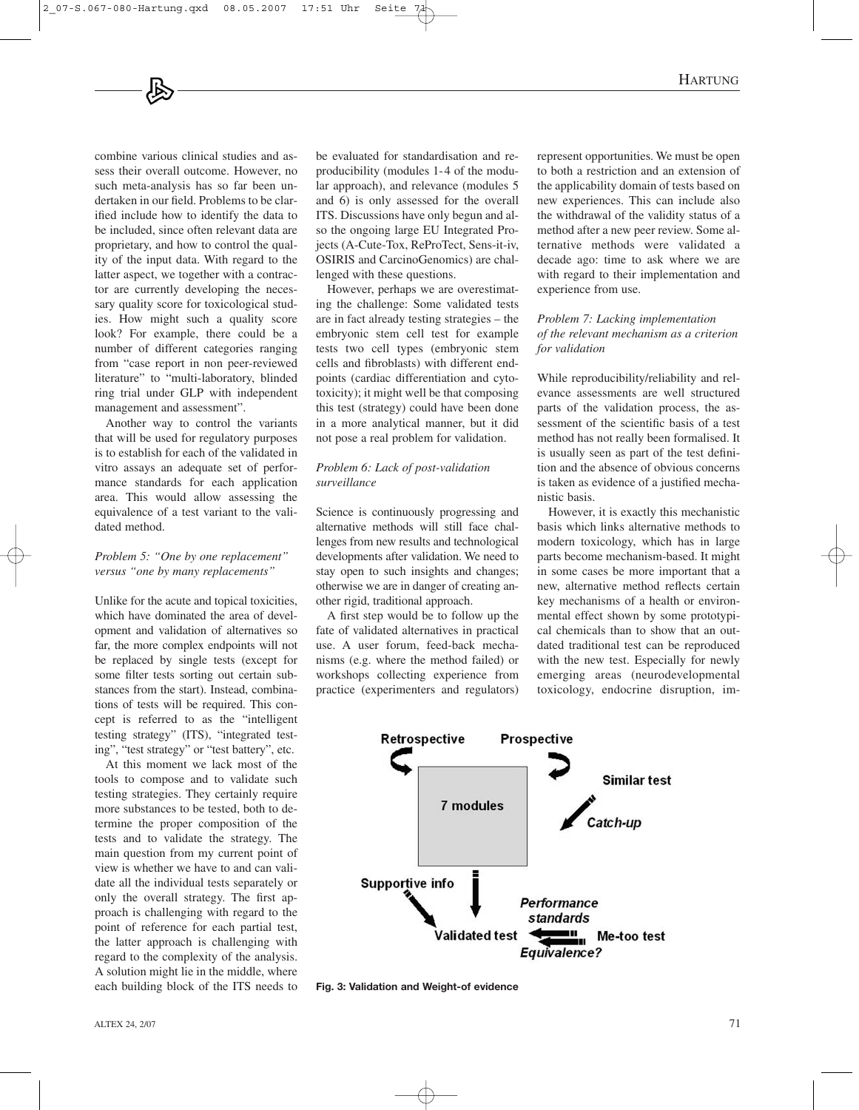combine various clinical studies and assess their overall outcome. However, no such meta-analysis has so far been undertaken in our field. Problems to be clarified include how to identify the data to be included, since often relevant data are proprietary, and how to control the quality of the input data. With regard to the latter aspect, we together with a contractor are currently developing the necessary quality score for toxicological studies. How might such a quality score look? For example, there could be a number of different categories ranging from "case report in non peer-reviewed literature" to "multi-laboratory, blinded ring trial under GLP with independent management and assessment".

Another way to control the variants that will be used for regulatory purposes is to establish for each of the validated in vitro assays an adequate set of performance standards for each application area. This would allow assessing the equivalence of a test variant to the validated method.

## *Problem 5: "One by one replacement" versus "one by many replacements"*

Unlike for the acute and topical toxicities, which have dominated the area of development and validation of alternatives so far, the more complex endpoints will not be replaced by single tests (except for some filter tests sorting out certain substances from the start). Instead, combinations of tests will be required. This concept is referred to as the "intelligent testing strategy" (ITS), "integrated testing", "test strategy" or "test battery", etc.

At this moment we lack most of the tools to compose and to validate such testing strategies. They certainly require more substances to be tested, both to determine the proper composition of the tests and to validate the strategy. The main question from my current point of view is whether we have to and can validate all the individual tests separately or only the overall strategy. The first approach is challenging with regard to the point of reference for each partial test, the latter approach is challenging with regard to the complexity of the analysis. A solution might lie in the middle, where each building block of the ITS needs to be evaluated for standardisation and reproducibility (modules 1-4 of the modular approach), and relevance (modules 5 and 6) is only assessed for the overall ITS. Discussions have only begun and also the ongoing large EU Integrated Projects (A-Cute-Tox, ReProTect, Sens-it-iv, OSIRIS and CarcinoGenomics) are challenged with these questions.

However, perhaps we are overestimating the challenge: Some validated tests are in fact already testing strategies – the embryonic stem cell test for example tests two cell types (embryonic stem cells and fibroblasts) with different endpoints (cardiac differentiation and cytotoxicity); it might well be that composing this test (strategy) could have been done in a more analytical manner, but it did not pose a real problem for validation.

### *Problem 6: Lack of post-validation surveillance*

Science is continuously progressing and alternative methods will still face challenges from new results and technological developments after validation. We need to stay open to such insights and changes; otherwise we are in danger of creating another rigid, traditional approach.

A first step would be to follow up the fate of validated alternatives in practical use. A user forum, feed-back mechanisms (e.g. where the method failed) or workshops collecting experience from practice (experimenters and regulators) represent opportunities. We must be open to both a restriction and an extension of the applicability domain of tests based on new experiences. This can include also the withdrawal of the validity status of a method after a new peer review. Some alternative methods were validated a decade ago: time to ask where we are with regard to their implementation and experience from use.

### *Problem 7: Lacking implementation of the relevant mechanism as a criterion for validation*

While reproducibility/reliability and relevance assessments are well structured parts of the validation process, the assessment of the scientific basis of a test method has not really been formalised. It is usually seen as part of the test definition and the absence of obvious concerns is taken as evidence of a justified mechanistic basis.

However, it is exactly this mechanistic basis which links alternative methods to modern toxicology, which has in large parts become mechanism-based. It might in some cases be more important that a new, alternative method reflects certain key mechanisms of a health or environmental effect shown by some prototypical chemicals than to show that an outdated traditional test can be reproduced with the new test. Especially for newly emerging areas (neurodevelopmental toxicology, endocrine disruption, im-



**Fig. 3: Validation and Weight-of evidence**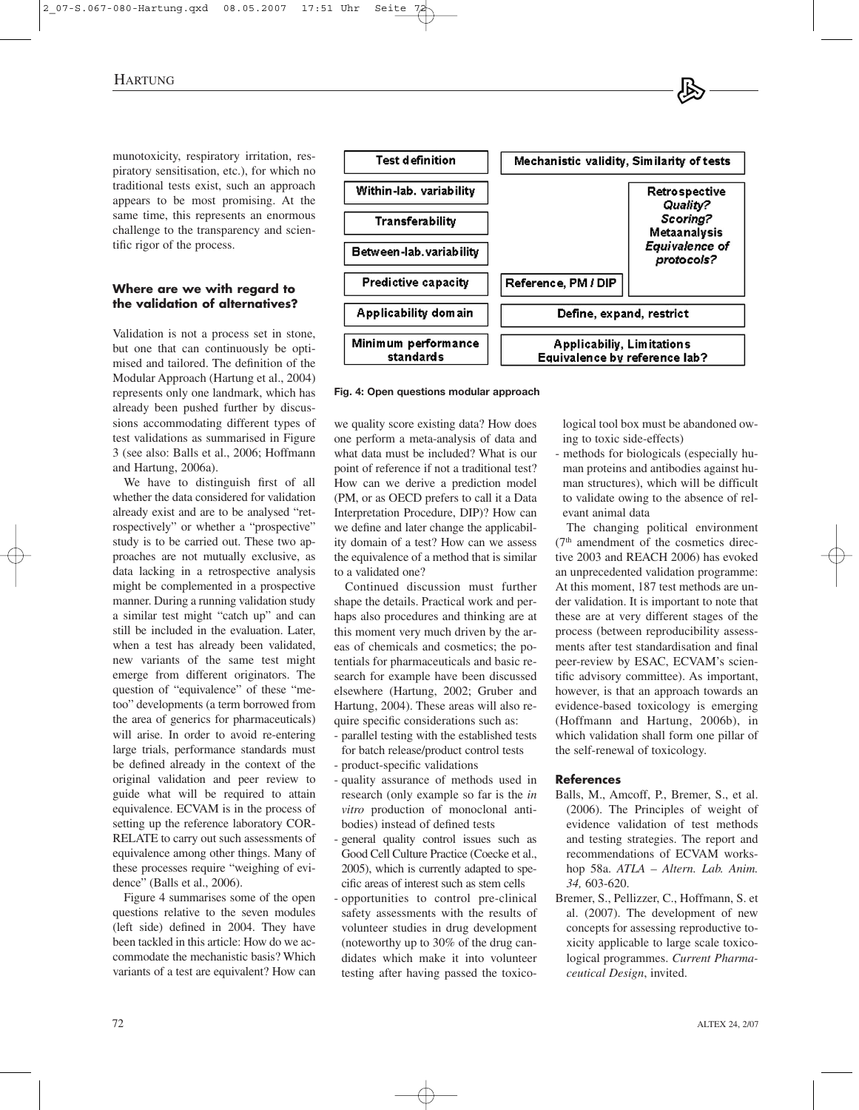munotoxicity, respiratory irritation, respiratory sensitisation, etc.), for which no traditional tests exist, such an approach appears to be most promising. At the same time, this represents an enormous challenge to the transparency and scientific rigor of the process.

## **Where are we with regard to the validation of alternatives?**

Validation is not a process set in stone, but one that can continuously be optimised and tailored. The definition of the Modular Approach (Hartung et al., 2004) represents only one landmark, which has already been pushed further by discussions accommodating different types of test validations as summarised in Figure 3 (see also: Balls et al., 2006; Hoffmann and Hartung, 2006a).

We have to distinguish first of all whether the data considered for validation already exist and are to be analysed "retrospectively" or whether a "prospective" study is to be carried out. These two approaches are not mutually exclusive, as data lacking in a retrospective analysis might be complemented in a prospective manner. During a running validation study a similar test might "catch up" and can still be included in the evaluation. Later, when a test has already been validated, new variants of the same test might emerge from different originators. The question of "equivalence" of these "metoo" developments (a term borrowed from the area of generics for pharmaceuticals) will arise. In order to avoid re-entering large trials, performance standards must be defined already in the context of the original validation and peer review to guide what will be required to attain equivalence. ECVAM is in the process of setting up the reference laboratory COR-RELATE to carry out such assessments of equivalence among other things. Many of these processes require "weighing of evidence" (Balls et al., 2006).

Figure 4 summarises some of the open questions relative to the seven modules (left side) defined in 2004. They have been tackled in this article: How do we accommodate the mechanistic basis? Which variants of a test are equivalent? How can



#### **Fig. 4: Open questions modular approach**

we quality score existing data? How does one perform a meta-analysis of data and what data must be included? What is our point of reference if not a traditional test? How can we derive a prediction model (PM, or as OECD prefers to call it a Data Interpretation Procedure, DIP)? How can we define and later change the applicability domain of a test? How can we assess the equivalence of a method that is similar to a validated one?

Continued discussion must further shape the details. Practical work and perhaps also procedures and thinking are at this moment very much driven by the areas of chemicals and cosmetics; the potentials for pharmaceuticals and basic research for example have been discussed elsewhere (Hartung, 2002; Gruber and Hartung, 2004). These areas will also require specific considerations such as:

- parallel testing with the established tests for batch release/product control tests
- product-specific validations
- quality assurance of methods used in research (only example so far is the *in vitro* production of monoclonal antibodies) instead of defined tests
- general quality control issues such as Good Cell Culture Practice (Coecke et al., 2005), which is currently adapted to specific areas of interest such as stem cells
- opportunities to control pre-clinical safety assessments with the results of volunteer studies in drug development (noteworthy up to 30% of the drug candidates which make it into volunteer testing after having passed the toxico-

logical tool box must be abandoned owing to toxic side-effects)

methods for biologicals (especially human proteins and antibodies against human structures), which will be difficult to validate owing to the absence of relevant animal data

The changing political environment  $(7<sup>th</sup>$  amendment of the cosmetics directive 2003 and REACH 2006) has evoked an unprecedented validation programme: At this moment, 187 test methods are under validation. It is important to note that these are at very different stages of the process (between reproducibility assessments after test standardisation and final peer-review by ESAC, ECVAM's scientific advisory committee). As important, however, is that an approach towards an evidence-based toxicology is emerging (Hoffmann and Hartung, 2006b), in which validation shall form one pillar of the self-renewal of toxicology.

#### **References**

- Balls, M., Amcoff, P., Bremer, S., et al. (2006). The Principles of weight of evidence validation of test methods and testing strategies. The report and recommendations of ECVAM workshop 58a. *ATLA – Altern. Lab. Anim. 34,* 603-620.
- Bremer, S., Pellizzer, C., Hoffmann, S. et al. (2007). The development of new concepts for assessing reproductive toxicity applicable to large scale toxicological programmes. *Current Pharmaceutical Design*, invited.